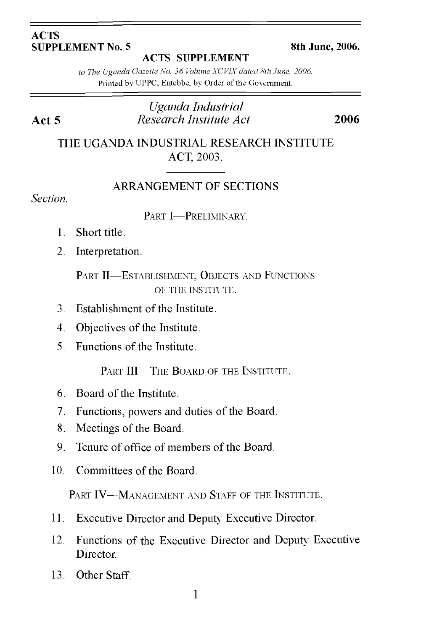#### **ACTS SUPPLEMENT No. 5 8th June, 2006.**

**ACTS SUPPLEMENT**

*to The Uganda Gazette No. 36 Volume XCVIXdated Sth June, 2006.* Printed by UPPC, Entebbe, by Order of the Government.

## *Uganda Industrial* **Act 5** *Research Institute Act* **2006**

THE UGANDA INDUSTRIAL RESEARCH INSTITUTE ACT, 2003.

## ARRANGEMENT OF SECTIONS

*Section.*

PART **I**-PRELIMINARY.

- 1. Short title.
- 2. Interpretation.

PART II—ESTABLISHMENT, OBJECTS AND FUNCTIONS OF THE INSTITUTE.

- 3. Establishment of the Institute.
- 4. Objectives of the Institute.
- 5. Functions of the Institute.

PART III—THE BOARD OF THE INSTITUTE.

- 6. Board of the Institute.
- 7. Functions, powers and duties of the Board.
- 8. Meetings of the Board.
- 9. Tenure of office of members of the Board.
- 10. Committees of the Board.

PART IV—MANAGEMENT AND STAFF OF THE INSTITUTE.

- 11. Executive Director and Deputy Executive Director.
- 12. Functions of the Executive Director and Deputy Executive Director.
- 13. Other Staff.

1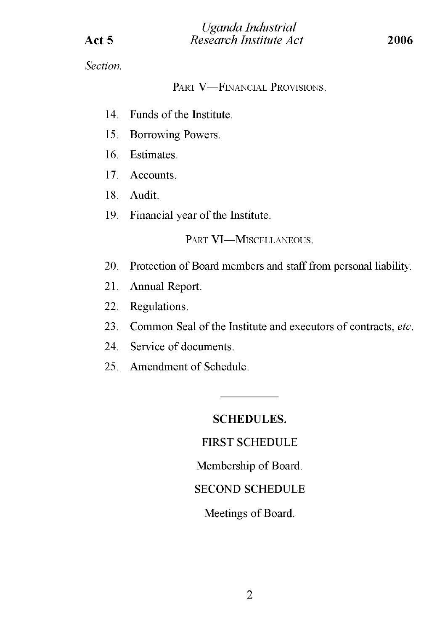*Section.*

PART V—FINANCIAL PROVISIONS.

- 14. Funds of the Institute.
- 15. Borrowing Powers.
- 16. Estimates.
- 17. Accounts.
- 18. Audit.
- 19. Financial year of the Institute.

PART VI-MISCELLANEOUS.

- 20. Protection of Board members and staff from personal liability.
- 21. Annual Report.
- 22. Regulations.
- 23. Common Seal of the Institute and executors of contracts, *etc.*
- 24. Service of documents.
- 25. Amendment of Schedule.

## **SCHEDULES.**

## FIRST SCHEDULE

Membership of Board.

## SECOND SCHEDULE

Meetings of Board.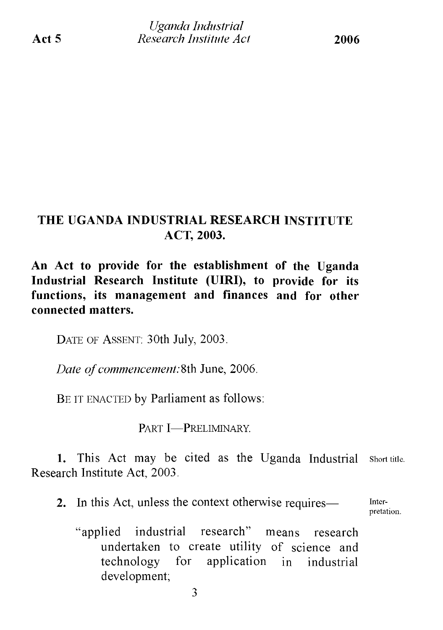# **THE UGANDA INDUSTRIAL RESEARCH INSTITUTE ACT, 2003.**

**An Act to provide for the establishment of the Uganda Industrial Research Institute (UIRI), to provide for its functions, its management and finances and for other connected matters.**

DATE OF ASSENT: 30th July, 2003.

*Date of commencement:* 8th June, 2006.

BE IT ENACTED by Parliament as follows:

Part I—Preliminary.

**1.** This Act may be cited as the Uganda Industrial short title. Research Institute Act, 2003.

**2.** In this Act, unless the context otherwise requires— Inter-

pretation.

"applied industrial research" means research undertaken to create utility of science and technology for application in industrial development;

3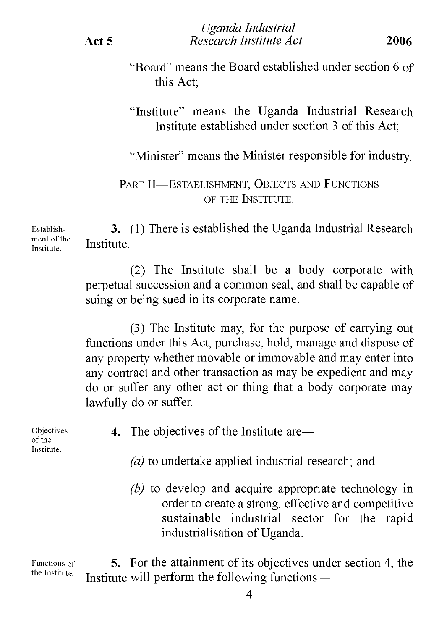"Board" means the Board established under section 6 of this Act;

"Institute" means the Uganda Industrial Research Institute established under section 3 of this Act:

"Minister" means the Minister responsible for industry.

PART II—ESTABLISHMENT, OBJECTS AND FUNCTIONS of the Institute.

**3.** (1) There is established the Uganda Industrial Research Institute.

> (2) The Institute shall be a body corporate with perpetual succession and a common seal, and shall be capable of suing or being sued in its corporate name.

> (3) The Institute may, for the purpose of carrying out functions under this Act, purchase, hold, manage and dispose of any property whether movable or immovable and may enter into any contract and other transaction as may be expedient and may do or suffer any other act or thing that a body corporate may lawfully do or suffer.

4. The objectives of the Institute are—

- *(a)* to undertake applied industrial research; and
- *(b)* to develop and acquire appropriate technology in order to create a strong, effective and competitive sustainable industrial sector for the rapid industrialisation of Uganda.

Functions of the Institute.

Objectives of the Institute.

> **5.** For the attainment of its objectives under section 4, the Institute will perform the following functions—

Establishment of the Institute.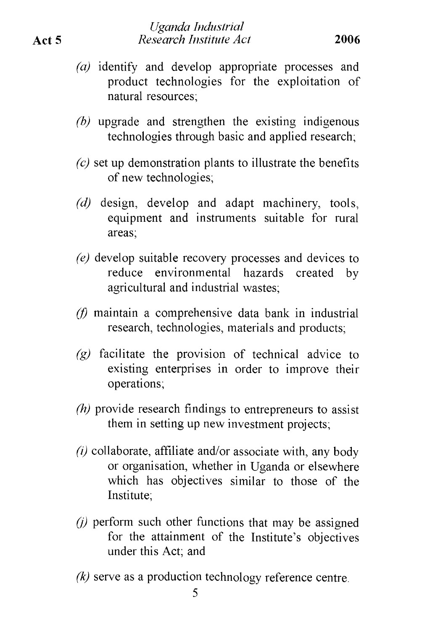- *(a)* identify and develop appropriate processes and product technologies for the exploitation of natural resources;
- *(b)* upgrade and strengthen the existing indigenous technologies through basic and applied research;
- *(c)* set up demonstration plants to illustrate the benefits of new technologies;
- *(d)* design, develop and adapt machinery, tools, equipment and instruments suitable for rural areas;
- *(e)* develop suitable recovery processes and devices to reduce environmental hazards created by agricultural and industrial wastes;
- *(f)* maintain a comprehensive data bank in industrial research, technologies, materials and products;
- *(g)* facilitate the provision of technical advice to existing enterprises in order to improve their operations;
- *(h)* provide research findings to entrepreneurs to assist them in setting up new investment projects;
- *(i)* collaborate, affiliate and/or associate with, any body or organisation, whether in Uganda or elsewhere which has objectives similar to those of the Institute;
- *(j)* perform such other functions that may be assigned for the attainment of the Institute's objectives under this Act; and
- *(k)* serve as a production technology reference centre.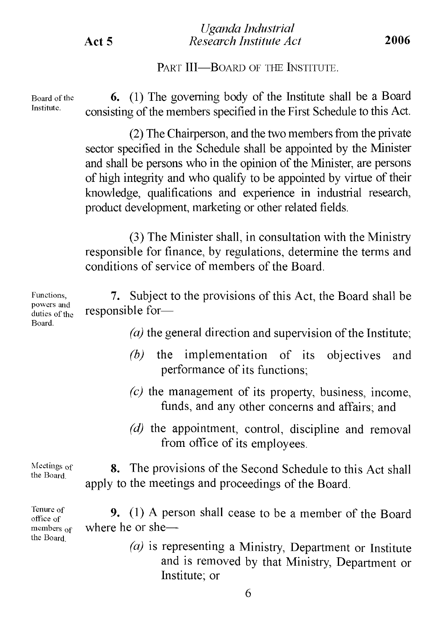PART **III—BOARD OF THE INSTITUTE.** 

Board of the Institute.

**6.** (1) The governing body of the Institute shall be a Board consisting of the members specified in the First Schedule to this Act.

 $(2)$  The Chairperson, and the two members from the private sector specified in the Schedule shall be appointed by the Minister and shall be persons who in the opinion of the Minister, are persons of high integrity and who qualify to be appointed by virtue of their knowledge, qualifications and experience in industrial research, product development, marketing or other related fields.

(3) The Minister shall, in consultation with the Ministry responsible for finance, by regulations, determine the terms and conditions of service of members of the Board.

Functions, powers and duties of the **7.** Subject to the provisions of this Act, the Board shall be responsible for—

 $(a)$  the general direction and supervision of the Institute;

- *(b)* the implementation of its objectives and performance of its functions;
- *(c)* the management of its property, business, income, funds, and any other concerns and affairs; and
- *(d)* the appointment, control, discipline and removal from office of its employees.

Meetings of the Board. **8.** The provisions of the Second Schedule to this Act shall apply to the meetings and proceedings of the Board.

Tenure of office of members <sub>of</sub> the Board. **9.** (1) A person shall cease to be a member of the Board where he or she—

*(a)* is representing a Ministry, Department or Institute and is removed by that Ministry, Department or Institute; or

Board.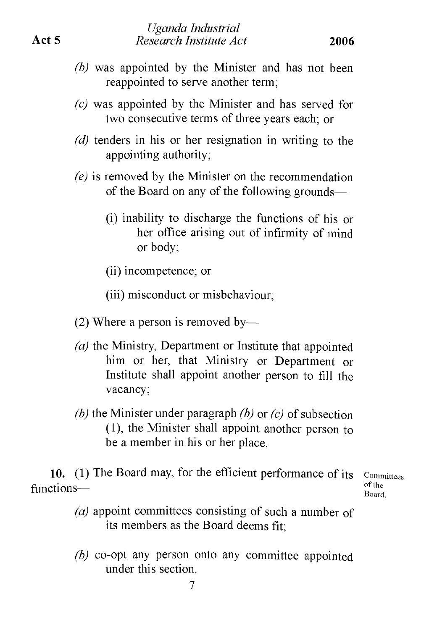- *(b)* was appointed by the Minister and has not been reappointed to serve another term;
- *(c)* was appointed by the Minister and has served for two consecutive terms of three years each; or
- *(d)* tenders in his or her resignation in writing to the appointing authority;
- *(e)* is removed by the Minister on the recommendation of the Board on any of the following grounds—
	- (i) inability to discharge the functions of his or her office arising out of infirmity of mind or body;

(ii) incompetence; or

- (2) Where a person is removed by—
- *(a)* the Ministry, Department or Institute that appointed him or her, that Ministry or Department or Institute shall appoint another person to fill the vacancy;
- *(b)* the Minister under paragraph *(b)* or *(c)* of subsection (1) , the Minister shall appoint another person to be a member in his or her place.

**10.** (1) The Board may, for the efficient performance of its functions—

Committees of the Board.

- *(a)* appoint committees consisting of such a number of its members as the Board deems fit;
- *(b)* co-opt any person onto any committee appointed under this section.

<sup>(</sup>iii) misconduct or misbehaviour;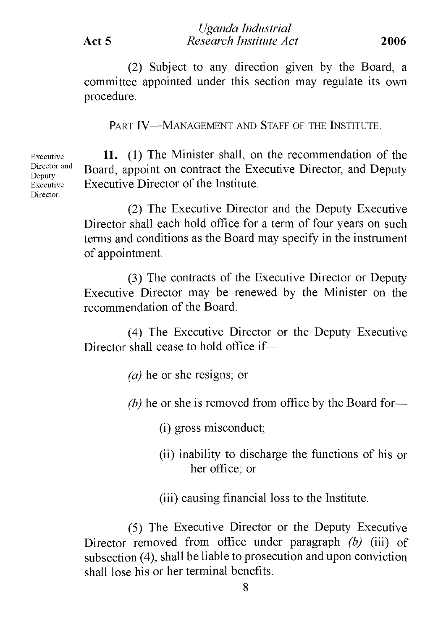(2) Subject to any direction given by the Board, a committee appointed under this section may regulate its own procedure.

PART IV—MANAGEMENT AND STAFF OF THE INSTITUTE.

Executive **11.** (1) The Minister shall, on the recommendation of the Director and Deputy Director and Board, appoint on contract the Executive Director, and Deputy  $E_{\text{Recutive}}$  Executive Director of the Institute.

> (2) The Executive Director and the Deputy Executive Director shall each hold office for a term of four years on such terms and conditions as the Board may specify in the instrument of appointment.

> (3) The contracts of the Executive Director or Deputy Executive Director may be renewed by the Minister on the recommendation of the Board.

> (4) The Executive Director or the Deputy Executive Director shall cease to hold office if—

> > *(a)* he or she resigns; or

*(b)* he or she is removed from office by the Board for—

(i) gross misconduct;

(ii) inability to discharge the functions of his or her office; or

(iii) causing financial loss to the Institute.

(5) The Executive Director or the Deputy Executive Director removed from office under paragraph *(b)* (iii) of subsection (4), shall be liable to prosecution and upon conviction shall lose his or her terminal benefits.

Director.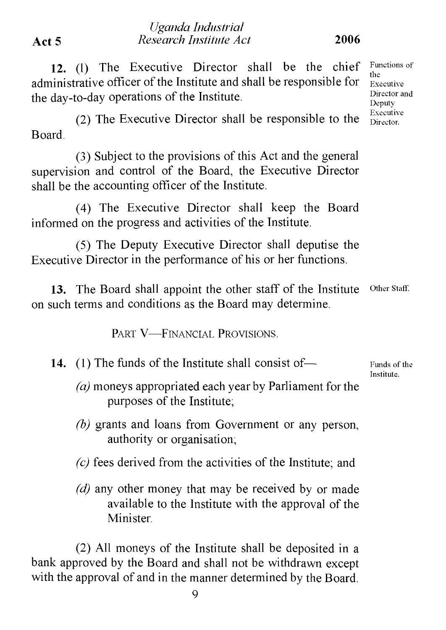# **Act 5** *Research Institute Act* **2006**

# **12.** (1) The Executive Director shall be the chief administrative officer of the Institute and shall be responsible for the day-to-day operations of the Institute.

*Uganda Industrial*

(2) The Executive Director shall be responsible to the Board.

(3) Subject to the provisions of this Act and the general supervision and control of the Board, the Executive Director shall be the accounting officer of the Institute.

(4) The Executive Director shall keep the Board informed on the progress and activities of the Institute.

(5) The Deputy Executive Director shall deputise the Executive Director in the performance of his or her functions.

**13.** The Board shall appoint the other staff of the Institute on such terms and conditions as the Board may determine. Other Staff.

PART V—FINANCIAL PROVISIONS.

- **14.** (1) The funds of the Institute shall consist of—
	- *(a)* moneys appropriated each year by Parliament for the purposes of the Institute;
	- *(b)* grants and loans from Government or any person, authority or organisation;
	- *(c)* fees derived from the activities of the Institute; and
	- *(d)* any other money that may be received by or made available to the Institute with the approval of the Minister.

(2) All moneys of the Institute shall be deposited in a bank approved by the Board and shall not be withdrawn except with the approval of and in the manner determined by the Board.

9

Functions of the Executive Director and Deputy Executive Director.

Funds of the Institute.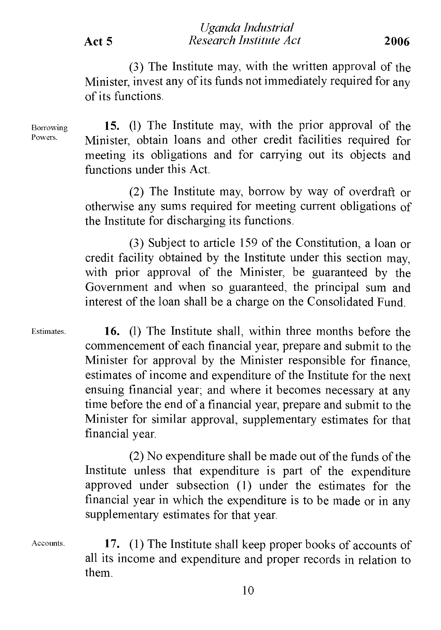(3) The Institute may, with the written approval of the Minister, invest any of its funds not immediately required for any of its functions.

Borrowing Powers.

**15.** (1) The Institute may, with the prior approval of the Minister, obtain loans and other credit facilities required for meeting its obligations and for carrying out its objects and functions under this Act.

(2) The Institute may, borrow by way of overdraft or otherwise any sums required for meeting current obligations of the Institute for discharging its functions.

(3) Subject to article 159 of the Constitution, a loan or credit facility obtained by the Institute under this section may, with prior approval of the Minister, be guaranteed by the Government and when so guaranteed, the principal sum and interest of the loan shall be a charge on the Consolidated Fund.

Estimates.

**16.** (1) The Institute shall, within three months before the commencement of each financial year, prepare and submit to the Minister for approval by the Minister responsible for finance, estimates of income and expenditure of the Institute for the next ensuing financial year; and where it becomes necessary at any time before the end of a financial year, prepare and submit to the Minister for similar approval, supplementary estimates for that financial year.

 $(2)$  No expenditure shall be made out of the funds of the Institute unless that expenditure is part of the expenditure approved under subsection (1) under the estimates for the financial year in which the expenditure is to be made or in any supplementary estimates for that year.

Accounts.

**17.** (1) The Institute shall keep proper books of accounts of all its income and expenditure and proper records in relation to them.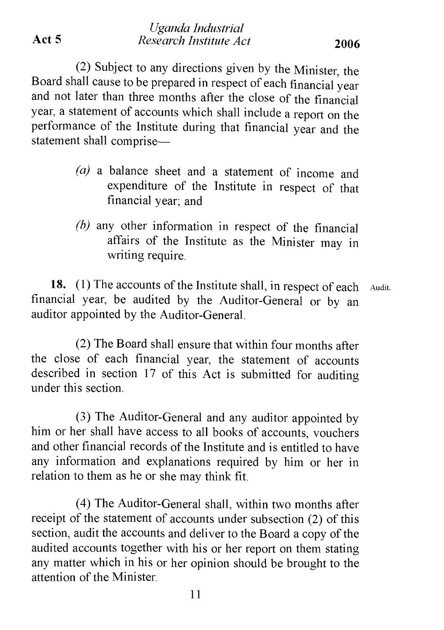(2) Subject to any directions given by the Minister the Board shall cause to be prepared in respect of each financial year and not later than three months after the close of the financial year, a statement of accounts which shall include a report on the performance of the Institute during that financial year and the statement shall comprise—

- *(a) a* balance sheet and a statement of income and expenditure of the Institute in respect of that financial year; and
- *(b)* any other information in respect of the financial affairs of the Institute as the Minister may in writing require.

**18.** (1) The accounts of the Institute shall, in respect of each Audit. financial year, be audited by the Auditor-General or by an auditor appointed by the Auditor-General.

(2) The Board shall ensure that within four months after the close of each financial year, the statement of accounts described in section 17 of this Act is submitted for auditing under this section.

(3) The Auditor-General and any auditor appointed by him or her shall have access to all books of accounts, vouchers and other financial records of the Institute and is entitled to have any information and explanations required by him or her in relation to them as he or she may think fit.

(4) The Auditor-General shall, within two months after receipt of the statement of accounts under subsection (2) of this section, audit the accounts and deliver to the Board a copy of the audited accounts together with his or her report on them stating any matter which in his or her opinion should be brought to the attention of the Minister.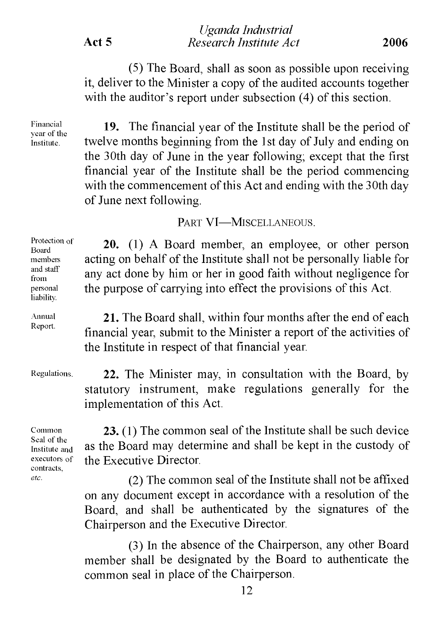(5) The Board, shall as soon as possible upon receiving it, deliver to the Minister a copy of the audited accounts together with the auditor's report under subsection  $(4)$  of this section.

Financial vear of the Institute.

**19.** The financial year of the Institute shall be the period of twelve months beginning from the 1st day of July and ending on the 30th day of June in the year following; except that the first financial year of the Institute shall be the period commencing with the commencement of this Act and ending with the 30th day of June next following.

## PART VI-MISCELLANEOUS.

Protection of Board members and staff from personal liability.

Annual Report.

Regulations.

Common Seal of the Institute and executors of contracts, *etc.*

**20.** (1) A Board member, an employee, or other person acting on behalf of the Institute shall not be personally liable for any act done by him or her in good faith without negligence for the purpose of carrying into effect the provisions of this Act.

**21.** The Board shall, within four months after the end of each financial year, submit to the Minister a report of the activities of the Institute in respect of that financial year.

**22.** The Minister may, in consultation with the Board, by statutory instrument, make regulations generally for the implementation of this Act.

**23.** (1) The common seal of the Institute shall be such device as the Board may determine and shall be kept in the custody of the Executive Director.

 $(2)$  The common seal of the Institute shall not be affixed on any document except in accordance with a resolution of the Board, and shall be authenticated by the signatures of the Chairperson and the Executive Director.

(3) In the absence of the Chairperson, any other Board member shall be designated by the Board to authenticate the common seal in place of the Chairperson.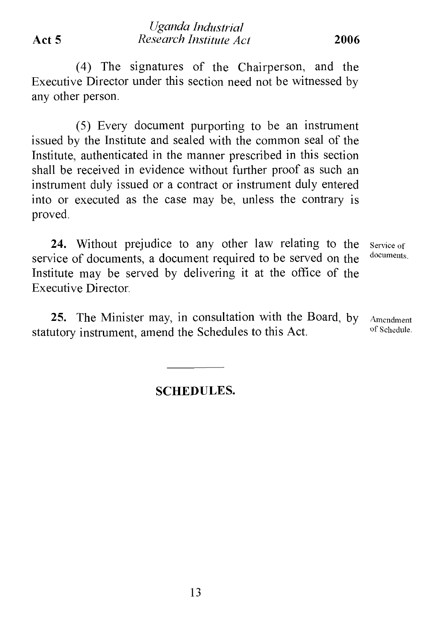(4) The signatures of the Chairperson, and the Executive Director under this section need not be witnessed by any other person.

(5) Every document purporting to be an instrument issued by the Institute and sealed with the common seal of the Institute, authenticated in the manner prescribed in this section shall be received in evidence without further proof as such an instrument duly issued or a contract or instrument duly entered into or executed as the case may be, unless the contrary is proved.

**24.** Without prejudice to any other law relating to the service of documents, a document required to be served on the Institute may be served by delivering it at the office of the Executive Director. Service of documents.

**25.** The Minister may, in consultation with the Board, by statutory instrument, amend the Schedules to this Act. Amendment of Schedule.

## **SCHEDULES.**

13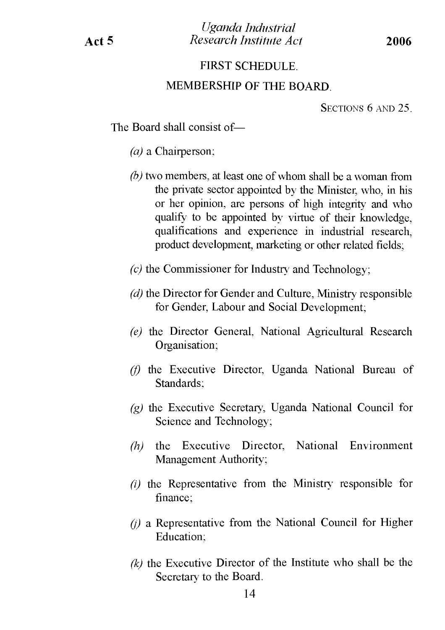### FIRST SCHEDULE.

#### MEMBERSHIP OF THE BOARD.

Sections 6 and 25.

The Board shall consist of—

- *(a)* a Chairperson;
- *(b)* two members, at least one of whom shall be a woman from the private sector appointed by the Minister, who, in his or her opinion, are persons of high integrity and who qualify to be appointed by virtue of their knowledge, qualifications and experience in industrial research, product development, marketing or other related fields;
- *(c)* the Commissioner for Industry and Technology;
- *(d)* the Director for Gender and Culture, Ministry responsible for Gender, Labour and Social Development;
- *(e)* the Director General. National Agricultural Research Organisation;
- *(f)* the Executive Director, Uganda National Bureau of Standards;
- *(g)* the Executive Secretary, Uganda National Council for Science and Technology;
- *(h)* the Executive Director, National Environment Management Authority;
- *(i)* the Representative from the Ministry responsible for finance;
- *(j)* a Representative from the National Council for Higher Education;
- *(k)* the Executive Director of the Institute who shall be the Secretary to the Board.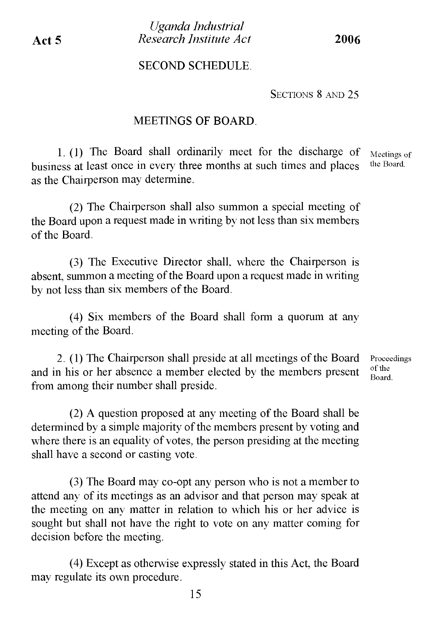#### SECOND SCHEDULE.

SECTIONS 8 AND 25

#### MEETINGS OF BOARD.

1. (1) The Board shall ordinarily meet for the discharge of business at least once in even' three months at such times and places as the Chairperson may determine.

Meetings of the Board.

(2) The Chairperson shall also summon a special meeting of the Board upon a request made in writing by not less than six members ofthe Board.

(3) The Executive Director shall, where the Chairperson is absent, summon a meeting of the Board upon a request made in writing by not less than six members of the Board.

(4) Six members of the Board shall form a quorum at any meeting of the Board.

2. (1) The Chairperson shall preside at all meetings of the Board and in his or her absence a member elected by the members present from among their number shall preside.

 $(2)$  A question proposed at any meeting of the Board shall be determined by a simple majority of the members present by voting and where there is an equality of votes, the person presiding at the meeting shall have a second or casting vote.

(3) The Board may co-opt any person who is not a member to attend any of its meetings as an advisor and that person may speak at the meeting on any matter in relation to which his or her advice is sought but shall not have the right to vote on any matter coming for decision before the meeting.

(4) Except as otherwise expressly stated in this Act, the Board may regulate its own procedure.

Proceedings of the Board.